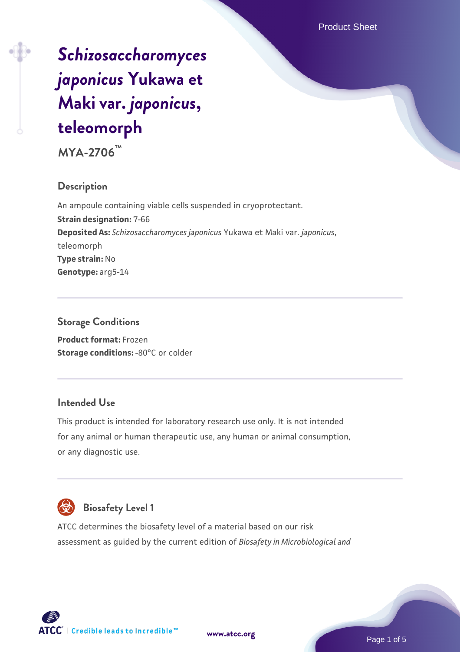# *[Schizosaccharomyces](https://www.atcc.org/products/mya-2706) [japonicus](https://www.atcc.org/products/mya-2706)* **[Yukawa et](https://www.atcc.org/products/mya-2706) [Maki var.](https://www.atcc.org/products/mya-2706)** *[japonicus](https://www.atcc.org/products/mya-2706)***[,](https://www.atcc.org/products/mya-2706) [teleomorph](https://www.atcc.org/products/mya-2706)**

**MYA-2706™**

## **Description**

An ampoule containing viable cells suspended in cryoprotectant. **Strain designation:** 7-66 **Deposited As:** *Schizosaccharomyces japonicus* Yukawa et Maki var. *japonicus*, teleomorph **Type strain:** No **Genotype:** arg5-14

## **Storage Conditions**

**Product format:** Frozen **Storage conditions: -80°C or colder** 

## **Intended Use**

This product is intended for laboratory research use only. It is not intended for any animal or human therapeutic use, any human or animal consumption, or any diagnostic use.



# **Biosafety Level 1**

ATCC determines the biosafety level of a material based on our risk assessment as guided by the current edition of *Biosafety in Microbiological and*



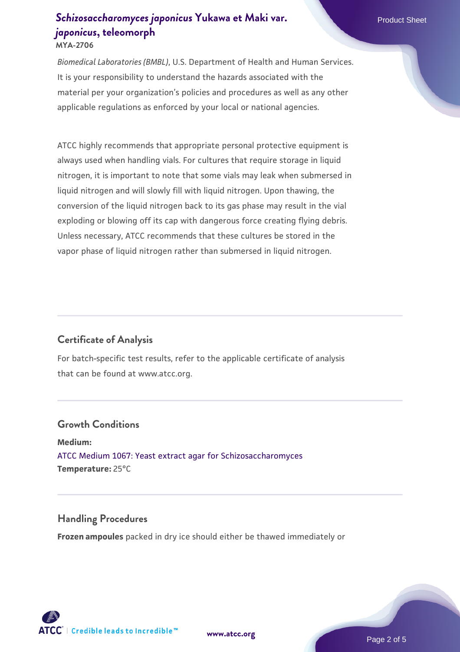#### **[Schizosaccharomyces japonicus](https://www.atcc.org/products/mya-2706) [Yukawa et Maki var.](https://www.atcc.org/products/mya-2706)** Product Sheet *[japonicus](https://www.atcc.org/products/mya-2706)***[, teleomorph](https://www.atcc.org/products/mya-2706) MYA-2706**

*Biomedical Laboratories (BMBL)*, U.S. Department of Health and Human Services. It is your responsibility to understand the hazards associated with the material per your organization's policies and procedures as well as any other applicable regulations as enforced by your local or national agencies.

ATCC highly recommends that appropriate personal protective equipment is always used when handling vials. For cultures that require storage in liquid nitrogen, it is important to note that some vials may leak when submersed in liquid nitrogen and will slowly fill with liquid nitrogen. Upon thawing, the conversion of the liquid nitrogen back to its gas phase may result in the vial exploding or blowing off its cap with dangerous force creating flying debris. Unless necessary, ATCC recommends that these cultures be stored in the vapor phase of liquid nitrogen rather than submersed in liquid nitrogen.

## **Certificate of Analysis**

For batch-specific test results, refer to the applicable certificate of analysis that can be found at www.atcc.org.

#### **Growth Conditions**

**Medium:**  [ATCC Medium 1067: Yeast extract agar for Schizosaccharomyces](https://www.atcc.org/-/media/product-assets/documents/microbial-media-formulations/atcc-medium-1067.pdf?rev=a2c0da8c6b3c41e385f7db117142f7aa) **Temperature:** 25°C

#### **Handling Procedures**

**Frozen ampoules** packed in dry ice should either be thawed immediately or

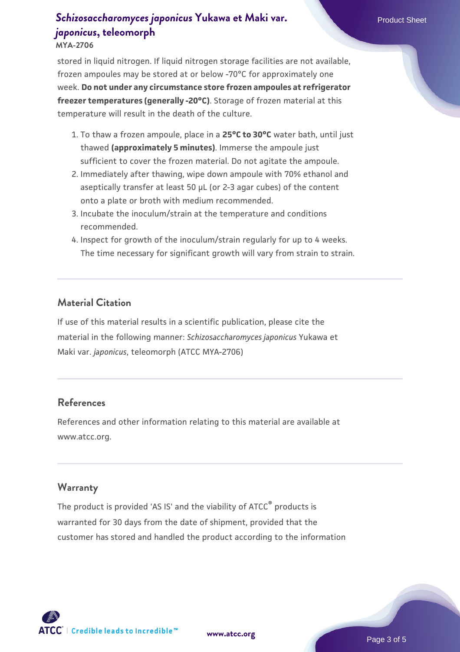# **[Schizosaccharomyces japonicus](https://www.atcc.org/products/mya-2706) [Yukawa et Maki var.](https://www.atcc.org/products/mya-2706)** Product Sheet *[japonicus](https://www.atcc.org/products/mya-2706)***[, teleomorph](https://www.atcc.org/products/mya-2706)**

#### **MYA-2706**

stored in liquid nitrogen. If liquid nitrogen storage facilities are not available, frozen ampoules may be stored at or below -70°C for approximately one week. **Do not under any circumstance store frozen ampoules at refrigerator freezer temperatures (generally -20°C)**. Storage of frozen material at this temperature will result in the death of the culture.

- 1. To thaw a frozen ampoule, place in a **25°C to 30°C** water bath, until just thawed **(approximately 5 minutes)**. Immerse the ampoule just sufficient to cover the frozen material. Do not agitate the ampoule.
- 2. Immediately after thawing, wipe down ampoule with 70% ethanol and aseptically transfer at least 50 µL (or 2-3 agar cubes) of the content onto a plate or broth with medium recommended.
- 3. Incubate the inoculum/strain at the temperature and conditions recommended.
- 4. Inspect for growth of the inoculum/strain regularly for up to 4 weeks. The time necessary for significant growth will vary from strain to strain.

#### **Material Citation**

If use of this material results in a scientific publication, please cite the material in the following manner: *Schizosaccharomyces japonicus* Yukawa et Maki var. *japonicus*, teleomorph (ATCC MYA-2706)

#### **References**

References and other information relating to this material are available at www.atcc.org.

#### **Warranty**

The product is provided 'AS IS' and the viability of ATCC® products is warranted for 30 days from the date of shipment, provided that the customer has stored and handled the product according to the information

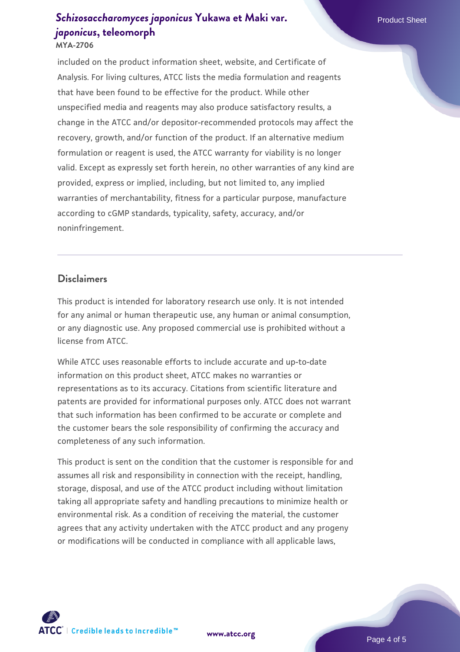# **[Schizosaccharomyces japonicus](https://www.atcc.org/products/mya-2706) [Yukawa et Maki var.](https://www.atcc.org/products/mya-2706)** Product Sheet *[japonicus](https://www.atcc.org/products/mya-2706)***[, teleomorph](https://www.atcc.org/products/mya-2706)**

#### **MYA-2706**

included on the product information sheet, website, and Certificate of Analysis. For living cultures, ATCC lists the media formulation and reagents that have been found to be effective for the product. While other unspecified media and reagents may also produce satisfactory results, a change in the ATCC and/or depositor-recommended protocols may affect the recovery, growth, and/or function of the product. If an alternative medium formulation or reagent is used, the ATCC warranty for viability is no longer valid. Except as expressly set forth herein, no other warranties of any kind are provided, express or implied, including, but not limited to, any implied warranties of merchantability, fitness for a particular purpose, manufacture according to cGMP standards, typicality, safety, accuracy, and/or noninfringement.

#### **Disclaimers**

This product is intended for laboratory research use only. It is not intended for any animal or human therapeutic use, any human or animal consumption, or any diagnostic use. Any proposed commercial use is prohibited without a license from ATCC.

While ATCC uses reasonable efforts to include accurate and up-to-date information on this product sheet, ATCC makes no warranties or representations as to its accuracy. Citations from scientific literature and patents are provided for informational purposes only. ATCC does not warrant that such information has been confirmed to be accurate or complete and the customer bears the sole responsibility of confirming the accuracy and completeness of any such information.

This product is sent on the condition that the customer is responsible for and assumes all risk and responsibility in connection with the receipt, handling, storage, disposal, and use of the ATCC product including without limitation taking all appropriate safety and handling precautions to minimize health or environmental risk. As a condition of receiving the material, the customer agrees that any activity undertaken with the ATCC product and any progeny or modifications will be conducted in compliance with all applicable laws,



**[www.atcc.org](http://www.atcc.org)**

Page 4 of 5